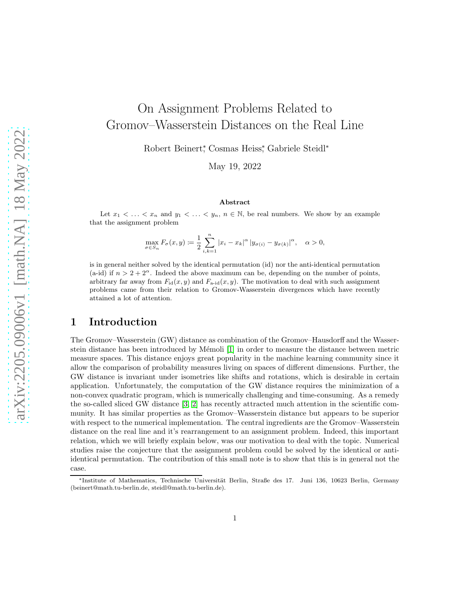# On Assignment Problems Related to Gromov–Wasserstein Distances on the Real Line

Robert Beinert<sup>\*</sup>, Cosmas Heiss<sup>\*</sup>, Gabriele Steidl<sup>\*</sup>

May 19, 2022

#### Abstract

Let  $x_1 < \ldots < x_n$  and  $y_1 < \ldots < y_n$ ,  $n \in \mathbb{N}$ , be real numbers. We show by an example that the assignment problem

$$
\max_{\sigma \in S_n} F_{\sigma}(x, y) \coloneqq \frac{1}{2} \sum_{i,k=1}^n |x_i - x_k|^{\alpha} |y_{\sigma(i)} - y_{\sigma(k)}|^{\alpha}, \quad \alpha > 0,
$$

is in general neither solved by the identical permutation (id) nor the anti-identical permutation (a-id) if  $n > 2 + 2^{\alpha}$ . Indeed the above maximum can be, depending on the number of points, arbitrary far away from  $F_{\text{id}}(x, y)$  and  $F_{\text{a-id}}(x, y)$ . The motivation to deal with such assignment problems came from their relation to Gromov-Wasserstein divergences which have recently attained a lot of attention.

### 1 Introduction

The Gromov–Wasserstein (GW) distance as combination of the Gromov–Hausdorff and the Wasserstein distance has been introduced by Mémoli  $[1]$  in order to measure the distance between metric measure spaces. This distance enjoys great popularity in the machine learning community since it allow the comparison of probability measures living on spaces of different dimensions. Further, the GW distance is invariant under isometries like shifts and rotations, which is desirable in certain application. Unfortunately, the computation of the GW distance requires the minimization of a non-convex quadratic program, which is numerically challenging and time-consuming. As a remedy the so-called sliced GW distance [\[3,](#page-3-1) [2\]](#page-3-2) has recently attracted much attention in the scientific community. It has similar properties as the Gromov–Wasserstein distance but appears to be superior with respect to the numerical implementation. The central ingredients are the Gromov–Wasserstein distance on the real line and it's rearrangement to an assignment problem. Indeed, this important relation, which we will briefly explain below, was our motivation to deal with the topic. Numerical studies raise the conjecture that the assignment problem could be solved by the identical or antiidentical permutation. The contribution of this small note is to show that this is in general not the case.

<sup>\*</sup>Institute of Mathematics, Technische Universität Berlin, Straße des 17. Juni 136, 10623 Berlin, Germany (beinert@math.tu-berlin.de, steidl@math.tu-berlin.de).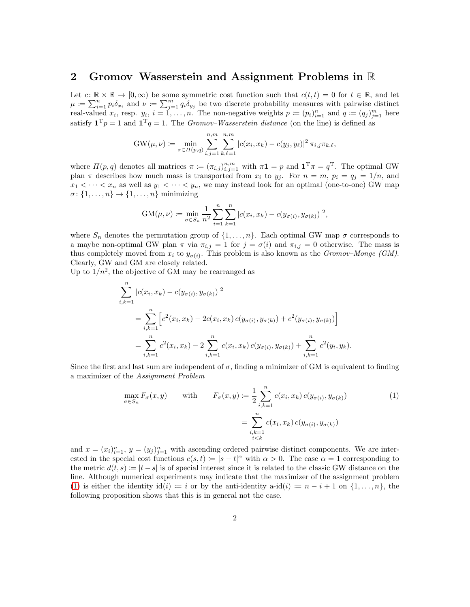#### 2 Gromov–Wasserstein and Assignment Problems in R

Let  $c: \mathbb{R} \times \mathbb{R} \to [0, \infty)$  be some symmetric cost function such that  $c(t, t) = 0$  for  $t \in \mathbb{R}$ , and let  $\mu = \sum_{i=1}^n p_i \delta_{x_i}$  and  $\nu = \sum_{j=1}^m q_i \delta_{y_j}$  be two discrete probability measures with pairwise distinct real-valued  $x_i$ , resp.  $y_i$ ,  $i = 1, \ldots, n$ . The non-negative weights  $p := (p_i)_{i=1}^n$  and  $q := (q_j)_{j=1}^m$  here satisfy  $\mathbf{1}^T p = 1$  and  $\mathbf{1}^T q = 1$ . The *Gromov–Wasserstein distance* (on the line) is defined as

$$
GW(\mu, \nu) := \min_{\pi \in \Pi(p,q)} \sum_{i,j=1}^{n,m} \sum_{k,\ell=1}^{n,m} |c(x_i, x_k) - c(y_j, y_\ell)|^2 \pi_{i,j} \pi_{k,\ell},
$$

where  $\Pi(p,q)$  denotes all matrices  $\pi := (\pi_{i,j})_{i,j=1}^{n,m}$  with  $\pi \mathbf{1} = p$  and  $\mathbf{1}^T \pi = q^T$ . The optimal GW plan  $\pi$  describes how much mass is transported from  $x_i$  to  $y_j$ . For  $n = m$ ,  $p_i = q_j = 1/n$ , and  $x_1 < \cdots < x_n$  as well as  $y_1 < \cdots < y_n$ , we may instead look for an optimal (one-to-one) GW map  $\sigma: \{1, \ldots, n\} \to \{1, \ldots, n\}$  minimizing

$$
GM(\mu, \nu) := \min_{\sigma \in S_n} \frac{1}{n^2} \sum_{i=1}^n \sum_{k=1}^n |c(x_i, x_k) - c(y_{\sigma(i)}, y_{\sigma(k)})|^2,
$$

where  $S_n$  denotes the permutation group of  $\{1,\ldots,n\}$ . Each optimal GW map  $\sigma$  corresponds to a maybe non-optimal GW plan  $\pi$  via  $\pi_{i,j} = 1$  for  $j = \sigma(i)$  and  $\pi_{i,j} = 0$  otherwise. The mass is thus completely moved from  $x_i$  to  $y_{\sigma(i)}$ . This problem is also known as the *Gromov–Monge* (*GM*). Clearly, GW and GM are closely related.

Up to  $1/n^2$ , the objective of GM may be rearranged as

$$
\sum_{i,k=1}^{n} |c(x_i, x_k) - c(y_{\sigma(i)}, y_{\sigma(k)})|^2
$$
\n
$$
= \sum_{i,k=1}^{n} \left[ c^2(x_i, x_k) - 2c(x_i, x_k) c(y_{\sigma(i)}, y_{\sigma(k)}) + c^2(y_{\sigma(i)}, y_{\sigma(k)}) \right]
$$
\n
$$
= \sum_{i,k=1}^{n} c^2(x_i, x_k) - 2 \sum_{i,k=1}^{n} c(x_i, x_k) c(y_{\sigma(i)}, y_{\sigma(k)}) + \sum_{i,k=1}^{n} c^2(y_i, y_k).
$$

Since the first and last sum are independent of  $\sigma$ , finding a minimizer of GM is equivalent to finding a maximizer of the Assignment Problem

<span id="page-1-0"></span>
$$
\max_{\sigma \in S_n} F_{\sigma}(x, y) \quad \text{with} \quad F_{\sigma}(x, y) := \frac{1}{2} \sum_{\substack{i, k=1 \ i \neq k}}^n c(x_i, x_k) c(y_{\sigma(i)}, y_{\sigma(k)})
$$
\n
$$
= \sum_{\substack{i, k=1 \ i < k}}^n c(x_i, x_k) c(y_{\sigma(i)}, y_{\sigma(k)})
$$
\n
$$
(1)
$$

and  $x = (x_i)_{i=1}^n$ ,  $y = (y_j)_{j=1}^n$  with ascending ordered pairwise distinct components. We are interested in the special cost functions  $c(s,t) := |s-t|^{\alpha}$  with  $\alpha > 0$ . The case  $\alpha = 1$  corresponding to the metric  $d(t, s) := |t - s|$  is of special interest since it is related to the classic GW distance on the line. Although numerical experiments may indicate that the maximizer of the assignment problem [\(1\)](#page-1-0) is either the identity id(i) := i or by the anti-identity a-id(i) :=  $n-i+1$  on  $\{1,\ldots,n\}$ , the following proposition shows that this is in general not the case.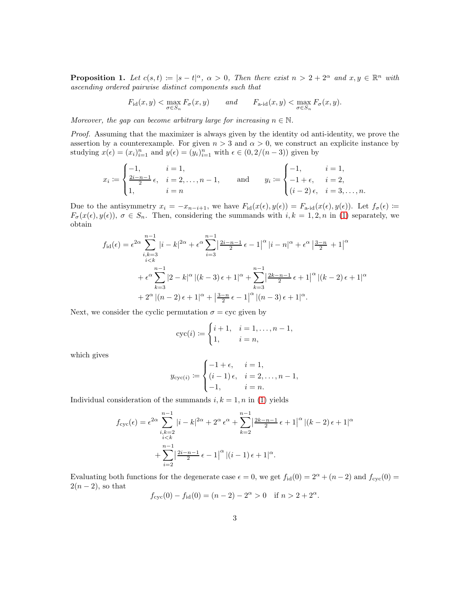**Proposition 1.** Let  $c(s,t) := |s-t|^{\alpha}$ ,  $\alpha > 0$ , Then there exist  $n > 2 + 2^{\alpha}$  and  $x, y \in \mathbb{R}^n$  with ascending ordered pairwise distinct components such that

$$
F_{\mathrm{id}}(x,y) < \max_{\sigma \in S_n} F_{\sigma}(x,y) \qquad and \qquad F_{\mathrm{a}\text{-}\mathrm{id}}(x,y) < \max_{\sigma \in S_n} F_{\sigma}(x,y).
$$

Moreover, the gap can become arbitrary large for increasing  $n \in \mathbb{N}$ .

Proof. Assuming that the maximizer is always given by the identity od anti-identity, we prove the assertion by a counterexample. For given  $n > 3$  and  $\alpha > 0$ , we construct an explicite instance by studying  $x(\epsilon) = (x_i)_{i=1}^n$  and  $y(\epsilon) = (y_i)_{i=1}^n$  with  $\epsilon \in (0, 2/(n-3))$  given by

$$
x_i \coloneqq \begin{cases} -1, & i = 1, \\ \frac{2i - n - 1}{2} \epsilon, & i = 2, \dots, n - 1, \\ 1, & i = n \end{cases} \quad \text{and} \quad y_i \coloneqq \begin{cases} -1, & i = 1, \\ -1 + \epsilon, & i = 2, \\ (i - 2) \epsilon, & i = 3, \dots, n. \end{cases}
$$

Due to the antisymmetry  $x_i = -x_{n-i+1}$ , we have  $F_{\rm id}(x(\epsilon), y(\epsilon)) = F_{\rm a-id}(x(\epsilon), y(\epsilon))$ . Let  $f_{\sigma}(\epsilon) \coloneqq$  $F_{\sigma}(x(\epsilon), y(\epsilon)), \sigma \in S_n$ . Then, considering the summands with  $i, k = 1, 2, n$  in [\(1\)](#page-1-0) separately, we obtain

$$
f_{\text{id}}(\epsilon) = \epsilon^{2\alpha} \sum_{\substack{i,k=3 \ i
$$

Next, we consider the cyclic permutation  $\sigma = \text{cyc}$  given by

$$
cyc(i) := \begin{cases} i+1, & i = 1, ..., n-1, \\ 1, & i = n, \end{cases}
$$

which gives

$$
y_{\text{cyc}(i)} := \begin{cases} -1 + \epsilon, & i = 1, \\ (i - 1)\epsilon, & i = 2, ..., n - 1, \\ -1, & i = n. \end{cases}
$$

Individual consideration of the summands  $i, k = 1, n$  in [\(1\)](#page-1-0) yields

$$
f_{\text{cyc}}(\epsilon) = \epsilon^{2\alpha} \sum_{\substack{i,k=2 \\ i \le k}}^{n-1} |i-k|^{2\alpha} + 2^{\alpha} \epsilon^{\alpha} + \sum_{k=2}^{n-1} \left| \frac{2k-n-1}{2} \epsilon + 1 \right|^{\alpha} |(k-2) \epsilon + 1|^{\alpha} + \sum_{i=2}^{n-1} \left| \frac{2i-n-1}{2} \epsilon - 1 \right|^{\alpha} |(i-1) \epsilon + 1|^{\alpha}.
$$

Evaluating both functions for the degenerate case  $\epsilon = 0$ , we get  $f_{\text{id}}(0) = 2^{\alpha} + (n-2)$  and  $f_{\text{cyc}}(0) =$  $2(n-2)$ , so that

$$
f_{\text{cyc}}(0) - f_{\text{id}}(0) = (n-2) - 2^{\alpha} > 0
$$
 if  $n > 2 + 2^{\alpha}$ .